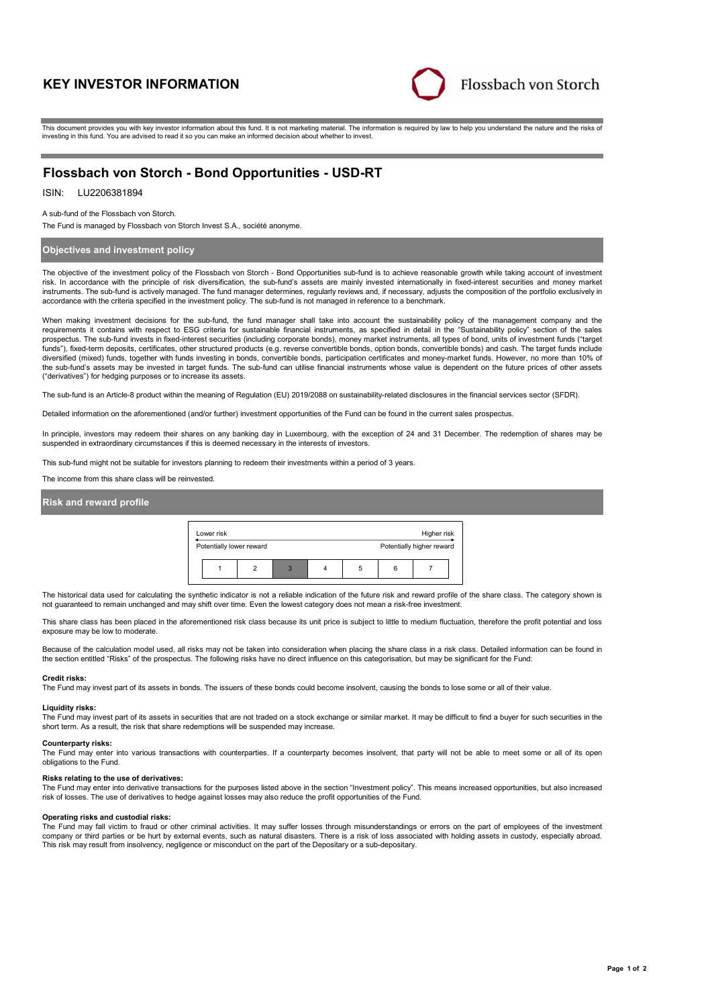# **KEY INVESTOR INFORMATION**



This document provides you with key investor information about this fund. It is not marketing material. The information is required by law to help you understand the nature and the risks of investing in this fund. You are advised to read it so you can make an informed decision about whether to invest.

# **Flossbach von Storch - Bond Opportunities - USD-RT**

## ISIN: LU2206381894

A sub-fund of the Flossbach von Storch.

The Fund is managed by Flossbach von Storch Invest S.A., société anonyme.

## **Objectives and investment policy**

The objective of the investment policy of the Flossbach von Storch - Bond Opportunities sub-fund is to achieve reasonable growth while taking account of investment risk. In accordance with the principle of risk diversification, the sub-fund's assets are mainly invested internationally in fixed-interest securities and money market instruments. The sub-fund is actively managed. The fund manager determines, regularly reviews and, if necessary, adjusts the composition of the portfolio exclusively in accordance with the criteria specified in the investment policy. The sub-fund is not managed in reference to a benchmark.

When making investment decisions for the sub-fund, the fund manager shall take into account the sustainability policy of the management company and the requirements it contains with respect to ESG criteria for sustainable financial instruments, as specified in detail in the "Sustainability policy" section of the sales prospectus. The sub-fund invests in fixed-interest securities (including corporate bonds), money market instruments, all types of bond, units of investment funds ("target funds"), fixed-term deposits, certificates, other structured products (e.g. reverse convertible bonds, option bonds, convertible bonds) and cash. The target funds include diversified (mixed) funds, together with funds investing in bonds, convertible bonds, participation certificates and money-market funds. However, no more than 10% of the sub-fund's assets may be invested in target funds. The sub-fund can utilise financial instruments whose value is dependent on the future prices of other assets ("derivatives") for hedging purposes or to increase its assets.

The sub-fund is an Article-8 product within the meaning of Regulation (EU) 2019/2088 on sustainability-related disclosures in the financial services sector (SFDR).

Detailed information on the aforementioned (and/or further) investment opportunities of the Fund can be found in the current sales prospectus.

In principle, investors may redeem their shares on any banking day in Luxembourg, with the exception of 24 and 31 December. The redemption of shares may be suspended in extraordinary circumstances if this is deemed necessary in the interests of investors.

This sub-fund might not be suitable for investors planning to redeem their investments within a period of 3 years.

The income from this share class will be reinvested.

# **Risk and reward profile**



The historical data used for calculating the synthetic indicator is not a reliable indication of the future risk and reward profile of the share class. The category shown is not guaranteed to remain unchanged and may shift over time. Even the lowest category does not mean a risk-free investment.

This share class has been placed in the aforementioned risk class because its unit price is subject to little to medium fluctuation, therefore the profit potential and loss exposure may be low to moderate.

Because of the calculation model used, all risks may not be taken into consideration when placing the share class in a risk class. Detailed information can be found in the section entitled "Risks" of the prospectus. The following risks have no direct influence on this categorisation, but may be significant for the Fund:

### **Credit risks:**

The Fund may invest part of its assets in bonds. The issuers of these bonds could become insolvent, causing the bonds to lose some or all of their value.

### **Liquidity risks:**

The Fund may invest part of its assets in securities that are not traded on a stock exchange or similar market. It may be difficult to find a buyer for such securities in the short term. As a result, the risk that share redemptions will be suspended may increase.

#### **Counterparty risks:**

The Fund may enter into various transactions with counterparties. If a counterparty becomes insolvent, that party will not be able to meet some or all of its open obligations to the Fund.

#### **Risks relating to the use of derivatives:**

The Fund may enter into derivative transactions for the purposes listed above in the section "Investment policy". This means increased opportunities, but also increased risk of losses. The use of derivatives to hedge against losses may also reduce the profit opportunities of the Fund.

#### **Operating risks and custodial risks:**

The Fund may fall victim to fraud or other criminal activities. It may suffer losses through misunderstandings or errors on the part of employees of the investment company or third parties or be hurt by external events, such as natural disasters. There is a risk of loss associated with holding assets in custody, especially abroad. This risk may result from insolvency, negligence or misconduct on the part of the Depositary or a sub-depositary.